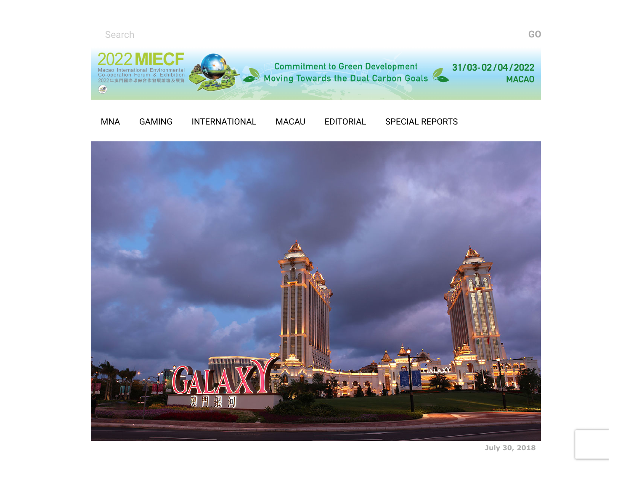Search **GO**







**July 30, 2018**